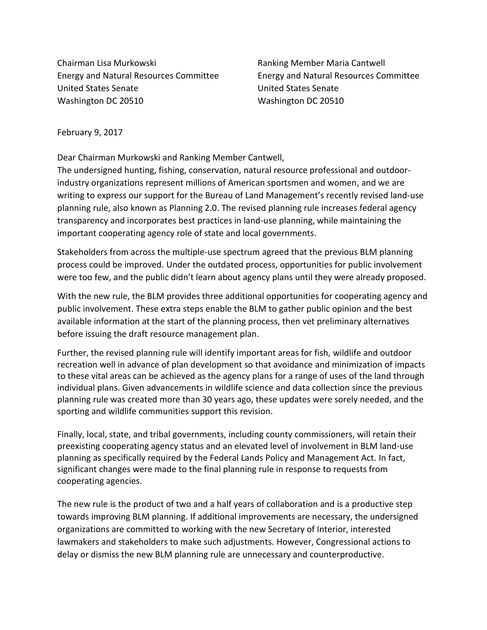Chairman Lisa Murkowski Ranking Member Maria Cantwell United States Senate United States Senate Washington DC 20510 Washington DC 20510

Energy and Natural Resources Committee Energy and Natural Resources Committee

February 9, 2017

Dear Chairman Murkowski and Ranking Member Cantwell,

The undersigned hunting, fishing, conservation, natural resource professional and outdoorindustry organizations represent millions of American sportsmen and women, and we are writing to express our support for the Bureau of Land Management's recently revised land-use planning rule, also known as Planning 2.0. The revised planning rule increases federal agency transparency and incorporates best practices in land-use planning, while maintaining the important cooperating agency role of state and local governments.

Stakeholders from across the multiple-use spectrum agreed that the previous BLM planning process could be improved. Under the outdated process, opportunities for public involvement were too few, and the public didn't learn about agency plans until they were already proposed.

With the new rule, the BLM provides three additional opportunities for cooperating agency and public involvement. These extra steps enable the BLM to gather public opinion and the best available information at the start of the planning process, then vet preliminary alternatives before issuing the draft resource management plan.

Further, the revised planning rule will identify important areas for fish, wildlife and outdoor recreation well in advance of plan development so that avoidance and minimization of impacts to these vital areas can be achieved as the agency plans for a range of uses of the land through individual plans. Given advancements in wildlife science and data collection since the previous planning rule was created more than 30 years ago, these updates were sorely needed, and the sporting and wildlife communities support this revision.

Finally, local, state, and tribal governments, including county commissioners, will retain their preexisting cooperating agency status and an elevated level of involvement in BLM land-use planning as specifically required by the Federal Lands Policy and Management Act. In fact, significant changes were made to the final planning rule in response to requests from cooperating agencies.

The new rule is the product of two and a half years of collaboration and is a productive step towards improving BLM planning. If additional improvements are necessary, the undersigned organizations are committed to working with the new Secretary of Interior, interested lawmakers and stakeholders to make such adjustments. However, Congressional actions to delay or dismiss the new BLM planning rule are unnecessary and counterproductive.